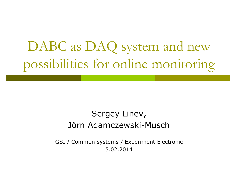# DABC as DAQ system and new possibilities for online monitoring

### Sergey Linev, Jörn Adamczewski-Musch

GSI / Common systems / Experiment Electronic 5.02.2014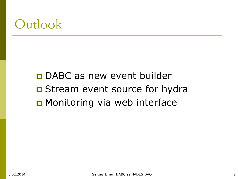## **Outlook**

□ DABC as new event builder **D** Stream event source for hydra ■ Monitoring via web interface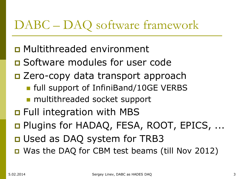### DABC – DAQ software framework

- Multithreaded environment
- **O** Software modules for user code
- □ Zero-copy data transport approach
	- **full support of InfiniBand/10GE VERBS**
	- multithreaded socket support
- **D** Full integration with MBS
- □ Plugins for HADAQ, FESA, ROOT, EPICS, ...
- □ Used as DAQ system for TRB3
- Was the DAQ for CBM test beams (till Nov 2012)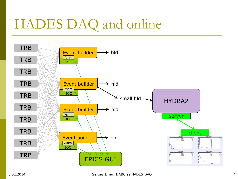# HADES DAQ and online

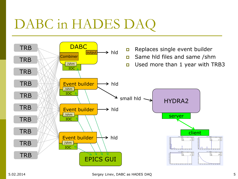# DABC in HADES DAQ

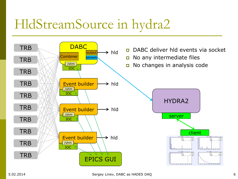# HldStreamSource in hydra2

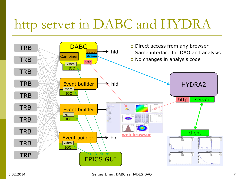# http server in DABC and HYDRA

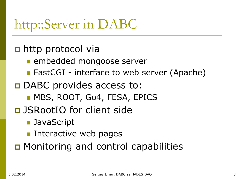# http::Server in DABC

### n http protocol via

- **Exembedded mongoose server**
- FastCGI interface to web server (Apache)
- □ DABC provides access to:
	- **MBS, ROOT, Go4, FESA, EPICS**
- **D** JSRootIO for client side
	- **JavaScript**
	- **Interactive web pages**

**D** Monitoring and control capabilities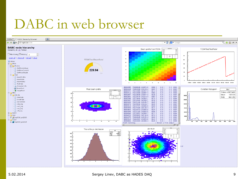## DABC in web browser



#### 5.02.2014 Sergey Linev, DABC as HADES DAQ 9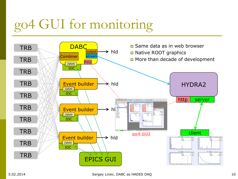# go4 GUI for monitoring

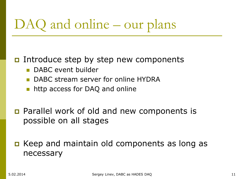# DAQ and online – our plans

#### Introduce step by step new components

- DABC event builder
- **DABC stream server for online HYDRA**
- **http access for DAQ and online**
- **p** Parallel work of old and new components is possible on all stages
- Keep and maintain old components as long as necessary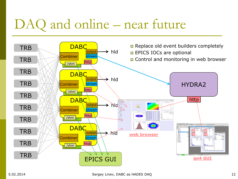# DAQ and online – near future

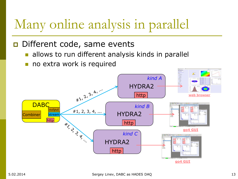# Many online analysis in parallel

#### D Different code, same events

- allows to run different analysis kinds in parallel
- no extra work is required